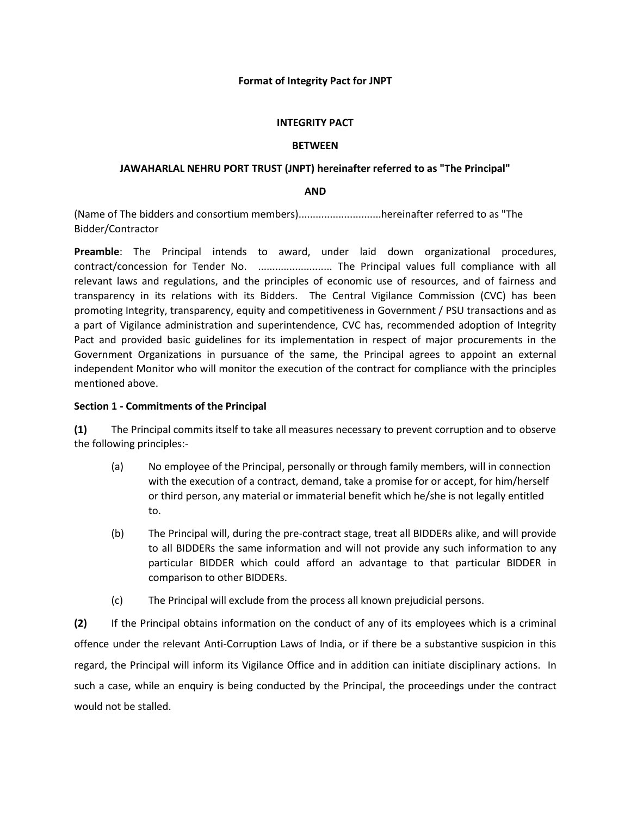## **Format of Integrity Pact for JNPT**

## **INTEGRITY PACT**

## **BETWEEN**

## **JAWAHARLAL NEHRU PORT TRUST (JNPT) hereinafter referred to as "The Principal"**

## **AND**

(Name of The bidders and consortium members).............................hereinafter referred to as "The Bidder/Contractor

**Preamble**: The Principal intends to award, under laid down organizational procedures, contract/concession for Tender No. ............................. The Principal values full compliance with all relevant laws and regulations, and the principles of economic use of resources, and of fairness and transparency in its relations with its Bidders. The Central Vigilance Commission (CVC) has been promoting Integrity, transparency, equity and competitiveness in Government / PSU transactions and as a part of Vigilance administration and superintendence, CVC has, recommended adoption of Integrity Pact and provided basic guidelines for its implementation in respect of major procurements in the Government Organizations in pursuance of the same, the Principal agrees to appoint an external independent Monitor who will monitor the execution of the contract for compliance with the principles mentioned above.

## **Section 1 - Commitments of the Principal**

**(1)** The Principal commits itself to take all measures necessary to prevent corruption and to observe the following principles:-

- (a) No employee of the Principal, personally or through family members, will in connection with the execution of a contract, demand, take a promise for or accept, for him/herself or third person, any material or immaterial benefit which he/she is not legally entitled to.
- (b) The Principal will, during the pre-contract stage, treat all BIDDERs alike, and will provide to all BIDDERs the same information and will not provide any such information to any particular BIDDER which could afford an advantage to that particular BIDDER in comparison to other BIDDERs.
- (c) The Principal will exclude from the process all known prejudicial persons.

**(2)** If the Principal obtains information on the conduct of any of its employees which is a criminal offence under the relevant Anti-Corruption Laws of India, or if there be a substantive suspicion in this regard, the Principal will inform its Vigilance Office and in addition can initiate disciplinary actions. In such a case, while an enquiry is being conducted by the Principal, the proceedings under the contract would not be stalled.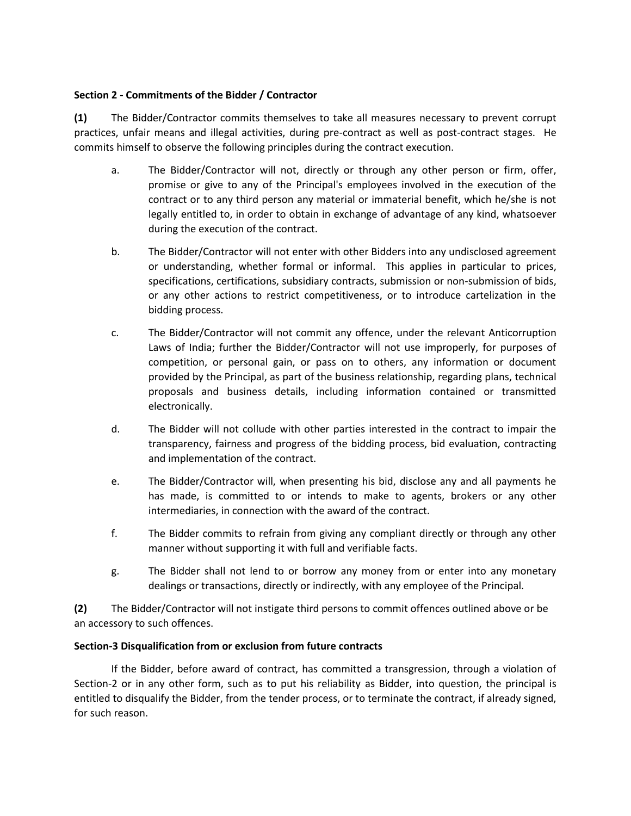## **Section 2 - Commitments of the Bidder / Contractor**

**(1)** The Bidder/Contractor commits themselves to take all measures necessary to prevent corrupt practices, unfair means and illegal activities, during pre-contract as well as post-contract stages. He commits himself to observe the following principles during the contract execution.

- a. The Bidder/Contractor will not, directly or through any other person or firm, offer, promise or give to any of the Principal's employees involved in the execution of the contract or to any third person any material or immaterial benefit, which he/she is not legally entitled to, in order to obtain in exchange of advantage of any kind, whatsoever during the execution of the contract.
- b. The Bidder/Contractor will not enter with other Bidders into any undisclosed agreement or understanding, whether formal or informal. This applies in particular to prices, specifications, certifications, subsidiary contracts, submission or non-submission of bids, or any other actions to restrict competitiveness, or to introduce cartelization in the bidding process.
- c. The Bidder/Contractor will not commit any offence, under the relevant Anticorruption Laws of India; further the Bidder/Contractor will not use improperly, for purposes of competition, or personal gain, or pass on to others, any information or document provided by the Principal, as part of the business relationship, regarding plans, technical proposals and business details, including information contained or transmitted electronically.
- d. The Bidder will not collude with other parties interested in the contract to impair the transparency, fairness and progress of the bidding process, bid evaluation, contracting and implementation of the contract.
- e. The Bidder/Contractor will, when presenting his bid, disclose any and all payments he has made, is committed to or intends to make to agents, brokers or any other intermediaries, in connection with the award of the contract.
- f. The Bidder commits to refrain from giving any compliant directly or through any other manner without supporting it with full and verifiable facts.
- g. The Bidder shall not lend to or borrow any money from or enter into any monetary dealings or transactions, directly or indirectly, with any employee of the Principal.

**(2)** The Bidder/Contractor will not instigate third persons to commit offences outlined above or be an accessory to such offences.

# **Section-3 Disqualification from or exclusion from future contracts**

If the Bidder, before award of contract, has committed a transgression, through a violation of Section-2 or in any other form, such as to put his reliability as Bidder, into question, the principal is entitled to disqualify the Bidder, from the tender process, or to terminate the contract, if already signed, for such reason.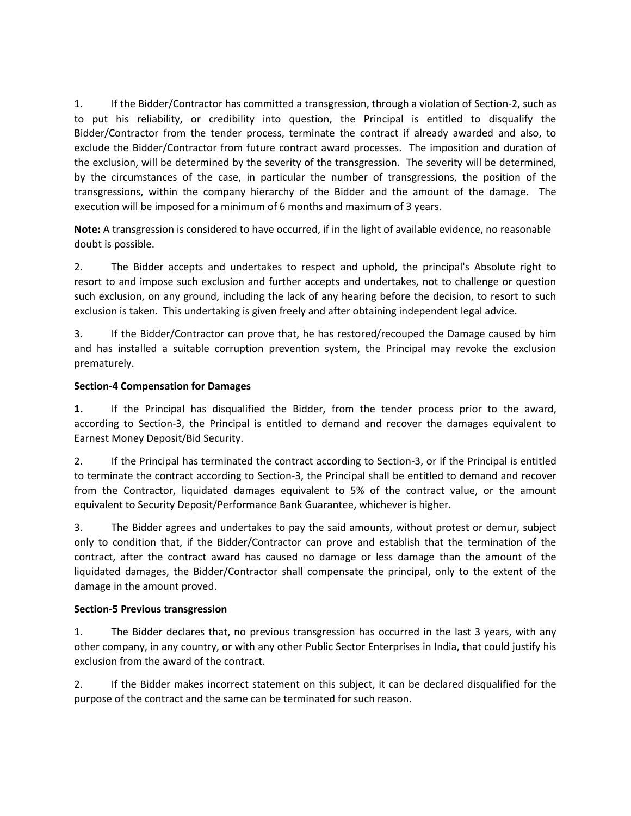1. If the Bidder/Contractor has committed a transgression, through a violation of Section-2, such as to put his reliability, or credibility into question, the Principal is entitled to disqualify the Bidder/Contractor from the tender process, terminate the contract if already awarded and also, to exclude the Bidder/Contractor from future contract award processes. The imposition and duration of the exclusion, will be determined by the severity of the transgression. The severity will be determined, by the circumstances of the case, in particular the number of transgressions, the position of the transgressions, within the company hierarchy of the Bidder and the amount of the damage. The execution will be imposed for a minimum of 6 months and maximum of 3 years.

**Note:** A transgression is considered to have occurred, if in the light of available evidence, no reasonable doubt is possible.

2. The Bidder accepts and undertakes to respect and uphold, the principal's Absolute right to resort to and impose such exclusion and further accepts and undertakes, not to challenge or question such exclusion, on any ground, including the lack of any hearing before the decision, to resort to such exclusion is taken. This undertaking is given freely and after obtaining independent legal advice.

3. If the Bidder/Contractor can prove that, he has restored/recouped the Damage caused by him and has installed a suitable corruption prevention system, the Principal may revoke the exclusion prematurely.

# **Section-4 Compensation for Damages**

**1.** If the Principal has disqualified the Bidder, from the tender process prior to the award, according to Section-3, the Principal is entitled to demand and recover the damages equivalent to Earnest Money Deposit/Bid Security.

2. If the Principal has terminated the contract according to Section-3, or if the Principal is entitled to terminate the contract according to Section-3, the Principal shall be entitled to demand and recover from the Contractor, liquidated damages equivalent to 5% of the contract value, or the amount equivalent to Security Deposit/Performance Bank Guarantee, whichever is higher.

3. The Bidder agrees and undertakes to pay the said amounts, without protest or demur, subject only to condition that, if the Bidder/Contractor can prove and establish that the termination of the contract, after the contract award has caused no damage or less damage than the amount of the liquidated damages, the Bidder/Contractor shall compensate the principal, only to the extent of the damage in the amount proved.

## **Section-5 Previous transgression**

1. The Bidder declares that, no previous transgression has occurred in the last 3 years, with any other company, in any country, or with any other Public Sector Enterprises in India, that could justify his exclusion from the award of the contract.

2. If the Bidder makes incorrect statement on this subject, it can be declared disqualified for the purpose of the contract and the same can be terminated for such reason.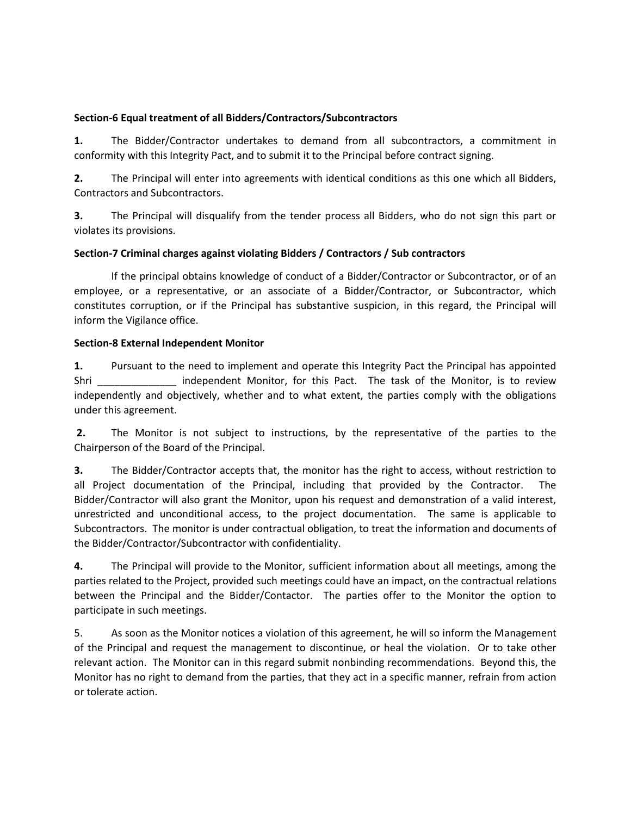# **Section-6 Equal treatment of all Bidders/Contractors/Subcontractors**

**1.** The Bidder/Contractor undertakes to demand from all subcontractors, a commitment in conformity with this Integrity Pact, and to submit it to the Principal before contract signing.

**2.** The Principal will enter into agreements with identical conditions as this one which all Bidders, Contractors and Subcontractors.

**3.** The Principal will disqualify from the tender process all Bidders, who do not sign this part or violates its provisions.

# **Section-7 Criminal charges against violating Bidders / Contractors / Sub contractors**

If the principal obtains knowledge of conduct of a Bidder/Contractor or Subcontractor, or of an employee, or a representative, or an associate of a Bidder/Contractor, or Subcontractor, which constitutes corruption, or if the Principal has substantive suspicion, in this regard, the Principal will inform the Vigilance office.

# **Section-8 External Independent Monitor**

**1.** Pursuant to the need to implement and operate this Integrity Pact the Principal has appointed Shri **Example 1** independent Monitor, for this Pact. The task of the Monitor, is to review independently and objectively, whether and to what extent, the parties comply with the obligations under this agreement.

**2.** The Monitor is not subject to instructions, by the representative of the parties to the Chairperson of the Board of the Principal.

**3.** The Bidder/Contractor accepts that, the monitor has the right to access, without restriction to all Project documentation of the Principal, including that provided by the Contractor. The Bidder/Contractor will also grant the Monitor, upon his request and demonstration of a valid interest, unrestricted and unconditional access, to the project documentation. The same is applicable to Subcontractors. The monitor is under contractual obligation, to treat the information and documents of the Bidder/Contractor/Subcontractor with confidentiality.

**4.** The Principal will provide to the Monitor, sufficient information about all meetings, among the parties related to the Project, provided such meetings could have an impact, on the contractual relations between the Principal and the Bidder/Contactor. The parties offer to the Monitor the option to participate in such meetings.

5. As soon as the Monitor notices a violation of this agreement, he will so inform the Management of the Principal and request the management to discontinue, or heal the violation. Or to take other relevant action. The Monitor can in this regard submit nonbinding recommendations. Beyond this, the Monitor has no right to demand from the parties, that they act in a specific manner, refrain from action or tolerate action.